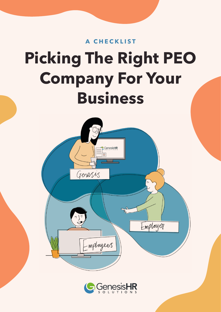# **Picking The Right PEO Company For Your Business A CHECKLIST**



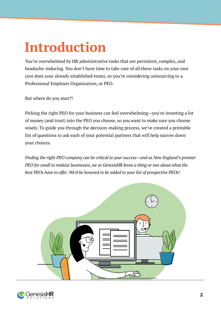# **Introduction**

You're overwhelmed by HR administrative tasks that are persistent, complex, and headache-inducing. You don't have time to take care of all these tasks on your own (nor does your already established team), so you're considering outsourcing to a Professional Employer Organization, or PEO.

But where do you start?!

Picking the right PEO for your business can feel overwhelming—you're investing a lot of money (and trust) into the PEO you choose, so you want to make sure you choose wisely. To guide you through the decision-making process, we've created a printable list of questions to ask each of your potential partners that will help narrow down your choices.

*Finding the right PEO company can be critical to your success—and as New England's premier PEO for small to midsize businesses, we at GenesisHR know a thing or two about what the best PEOs have to offer. We'd be honored to be added to your list of prospective PEOs!*



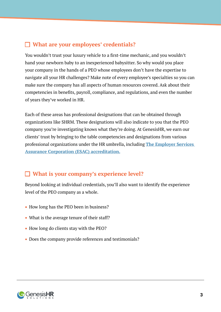### **What are your employees' credentials?**

You wouldn't trust your luxury vehicle to a first-time mechanic, and you wouldn't hand your newborn baby to an inexperienced babysitter. So why would you place your company in the hands of a PEO whose employees don't have the expertise to navigate all your HR challenges? Make note of every employee's specialties so you can make sure the company has all aspects of human resources covered. Ask about their competencies in benefits, payroll, compliance, and regulations, and even the number of years they've worked in HR.

Each of these areas has professional designations that can be obtained through organizations like SHRM. These designations will also indicate to you that the PEO company you're investigating knows what they're doing. At GenesisHR, we earn our clients' trust by bringing to the table competencies and designations from various professional organizations under the HR umbrella, including **[The Employer Services](https://www.peoreliability.org//GenesisHRSolutions)  [Assurance Corporation \(ESAC\) accreditation.](https://www.peoreliability.org//GenesisHRSolutions)**

#### **What is your company's experience level?**

Beyond looking at individual credentials, you'll also want to identify the experience level of the PEO company as a whole.

- How long has the PEO been in business?
- What is the average tenure of their staff?
- How long do clients stay with the PEO?
- Does the company provide references and testimonials?

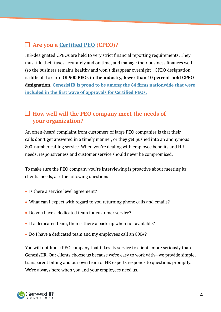## **Are you a [Certified PEO](https://genesishrsolutions.com/peo-blog/irs-approves-first-group-certified-professional-employer-organizations-cpeos/) (CPEO)?**

IRS-designated CPEOs are held to very strict financial reporting requirements. They must file their taxes accurately and on time, and manage their business finances well (so the business remains healthy and won't disappear overnight). CPEO designation is difficult to earn: **Of 900 PEOs in the industry, fewer than 10 percent hold CPEO designation. [GenesisHR is proud to be among the 84 firms nationwide that were](https://content.govdelivery.com/accounts/USIRS/bulletins/19ed6b8?reqfrom=share)  [included in the first wave of approvals for Certified PEOs.](https://content.govdelivery.com/accounts/USIRS/bulletins/19ed6b8?reqfrom=share)**

#### **How well will the PEO company meet the needs of your organization?**

An often-heard complaint from customers of large PEO companies is that their calls don't get answered in a timely manner, or they get pushed into an anonymous 800-number calling service. When you're dealing with employee benefits and HR needs, responsiveness and customer service should never be compromised.

To make sure the PEO company you're interviewing is proactive about meeting its clients' needs, ask the following questions:

- Is there a service level agreement?
- What can I expect with regard to you returning phone calls and emails?
- Do you have a dedicated team for customer service?
- If a dedicated team, then is there a back-up when not available?
- Do I have a dedicated team and my employees call an 800#?

You will not find a PEO company that takes its service to clients more seriously than GenesisHR. Our clients choose us because we're easy to work with—we provide simple, transparent billing and our own team of HR experts responds to questions promptly. We're always here when you and your employees need us.

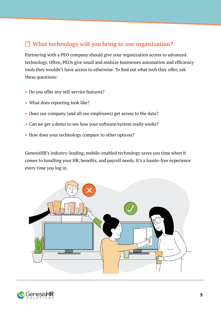#### **What technology will you bring to our organization?**

Partnering with a PEO company should give your organization access to advanced technology. Often, PEOs give small and midsize businesses automation and efficiency tools they wouldn't have access to otherwise. To find out what tech they offer, ask these questions:

- Do you offer any self-service features?
- What does reporting look like?
- Does our company (and all our employees) get access to the data?
- Can we get a demo to see how your software/system really works?
- How does your technology compare to other options?

GenesisHR's industry-leading, mobile-enabled technology saves you time when it comes to handling your HR, benefits, and payroll needs. It's a hassle-free experience every time you log in.



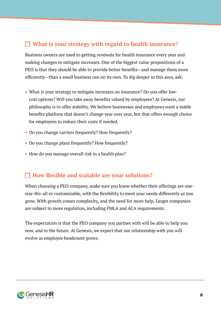#### **What is your strategy with regard to health insurance?**

Business owners are used to getting renewals for health insurance every year and making changes to mitigate increases. One of the biggest value propositions of a PEO is that they should be able to provide better benefits—and manage them more efficiently—than a small business can on its own. To dig deeper in this area, ask:

- What is your strategy to mitigate increases on insurance? Do you offer lowcost options? Will you take away benefits valued by employees? At Genesis, our philosophy is to offer stability. We believe businesses and employees want a stable benefits platform that doesn't change year over year, but that offers enough choice for employees to reduce their costs if needed.
- Do you change carriers frequently? How frequently?
- Do you change plans frequently? How frequently?
- How do you manage overall risk in a health plan?

#### **How flexible and scalable are your solutions?**

When choosing a PEO company, make sure you know whether their offerings are onesize-fits-all or customizable, with the flexibility to meet your needs differently as you grow. With growth comes complexity, and the need for more help. Larger companies are subject to more regulation, including FMLA and ACA requirements.

The expectation is that the PEO company you partner with will be able to help you now, and in the future. At Genesis, we expect that our relationship with you will evolve as employee headcount grows.